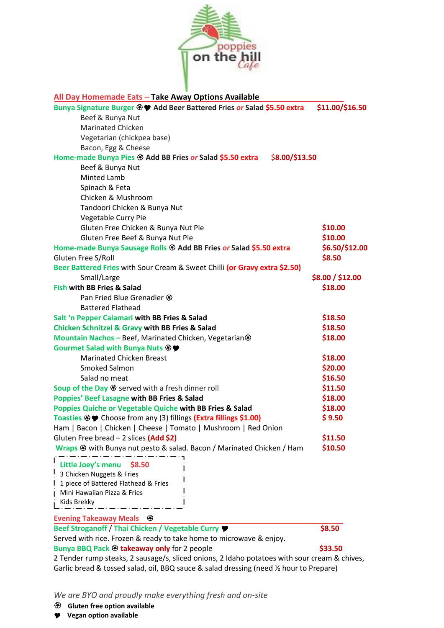

| All Day Homemade Eats - Take Away Options Available                                          |                  |
|----------------------------------------------------------------------------------------------|------------------|
| Bunya Signature Burger <sup>®</sup> ♥ Add Beer Battered Fries or Salad \$5.50 extra          | \$11.00/\$16.50  |
| Beef & Bunya Nut                                                                             |                  |
| <b>Marinated Chicken</b>                                                                     |                  |
| Vegetarian (chickpea base)                                                                   |                  |
| Bacon, Egg & Cheese                                                                          |                  |
| Home-made Bunya Pies $\circledast$ Add BB Fries or Salad \$5.50 extra<br>\$8.00/\$13.50      |                  |
| Beef & Bunya Nut                                                                             |                  |
| Minted Lamb                                                                                  |                  |
| Spinach & Feta                                                                               |                  |
| Chicken & Mushroom                                                                           |                  |
| Tandoori Chicken & Bunya Nut                                                                 |                  |
| Vegetable Curry Pie                                                                          |                  |
| Gluten Free Chicken & Bunya Nut Pie                                                          | \$10.00          |
| Gluten Free Beef & Bunya Nut Pie                                                             | \$10.00          |
| Home-made Bunya Sausage Rolls $\mathfrak{B}$ Add BB Fries or Salad \$5.50 extra              | \$6.50/\$12.00   |
| Gluten Free S/Roll                                                                           | \$8.50           |
| Beer Battered Fries with Sour Cream & Sweet Chilli (or Gravy extra \$2.50)                   |                  |
| Small/Large                                                                                  | \$8.00 / \$12.00 |
| <b>Fish with BB Fries &amp; Salad</b>                                                        | \$18.00          |
| Pan Fried Blue Grenadier $\circledast$                                                       |                  |
| <b>Battered Flathead</b>                                                                     |                  |
| Salt 'n Pepper Calamari with BB Fries & Salad                                                | \$18.50          |
| <b>Chicken Schnitzel &amp; Gravy with BB Fries &amp; Salad</b>                               | \$18.50          |
| Mountain Nachos - Beef, Marinated Chicken, Vegetarian ®                                      | \$18.00          |
| Gourmet Salad with Bunya Nuts <sup>®</sup>                                                   |                  |
| <b>Marinated Chicken Breast</b>                                                              | \$18.00          |
| Smoked Salmon                                                                                | \$20.00          |
| Salad no meat                                                                                | \$16.50          |
| Soup of the Day $\circledast$ served with a fresh dinner roll                                | \$11.50          |
| <b>Poppies' Beef Lasagne with BB Fries &amp; Salad</b>                                       | \$18.00          |
| Poppies Quiche or Vegetable Quiche with BB Fries & Salad                                     | \$18.00          |
| Toasties <sup>®</sup> ♥ Choose from any (3) fillings (Extra fillings \$1.00)                 | \$9.50           |
| Ham   Bacon   Chicken   Cheese   Tomato   Mushroom   Red Onion                               |                  |
| Gluten Free bread - 2 slices (Add \$2)                                                       | \$11.50          |
| Wraps $\circledast$ with Bunya nut pesto & salad. Bacon / Marinated Chicken / Ham            | \$10.50          |
| Little Joey's menu \$8.50                                                                    |                  |
| 3 Chicken Nuggets & Fries                                                                    |                  |
| 1 piece of Battered Flathead & Fries                                                         |                  |
| Mini Hawaiian Pizza & Fries                                                                  |                  |
| Kids Brekky                                                                                  |                  |
|                                                                                              |                  |
| Evening Takeaway Meals <sup>®</sup>                                                          |                  |
| Beef Stroganoff / Thai Chicken / Vegetable Curry ♥                                           | \$8.50           |
| Served with rice. Frozen & ready to take home to microwave & enjoy.                          |                  |
| Bunya BBQ Pack <sup>®</sup> takeaway only for 2 people                                       | \$33.50          |
| 2 Tender rump steaks, 2 sausage/s, sliced onions, 2 Idaho potatoes with sour cream & chives, |                  |
| Garlic bread & tossed salad, oil, BBQ sauce & salad dressing (need 1/2 hour to Prepare)      |                  |

*We are BYO and proudly make everything fresh and on-site* 

- **Gluten free option available**
- **Vegan option available**